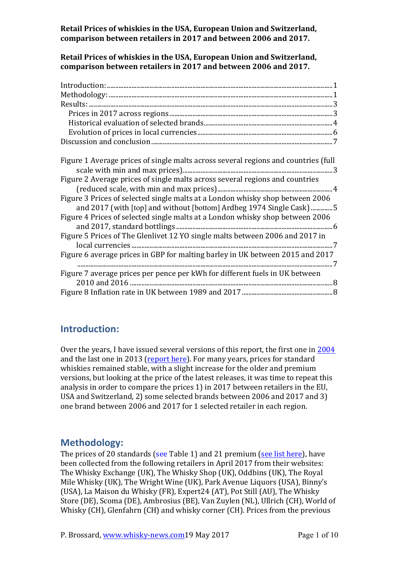### Retail Prices of whiskies in the USA, European Union and Switzerland, comparison between retailers in 2017 and between 2006 and 2017.

| Figure 1 Average prices of single malts across several regions and countries (full |  |
|------------------------------------------------------------------------------------|--|
|                                                                                    |  |
| Figure 2 Average prices of single malts across several regions and countries       |  |
|                                                                                    |  |
| Figure 3 Prices of selected single malts at a London whisky shop between 2006      |  |
| and 2017 (with [top] and without [bottom] Ardbeg 1974 Single Cask) 5               |  |
| Figure 4 Prices of selected single malts at a London whisky shop between 2006      |  |
|                                                                                    |  |
| Figure 5 Prices of The Glenlivet 12 YO single malts between 2006 and 2017 in       |  |
|                                                                                    |  |
| Figure 6 average prices in GBP for malting barley in UK between 2015 and 2017      |  |
|                                                                                    |  |
| Figure 7 average prices per pence per kWh for different fuels in UK between        |  |
|                                                                                    |  |
|                                                                                    |  |

# <span id="page-0-0"></span>**Introduction:**

Over the years, I have issued several versions of this report, the first one in 2004 and the last one in 2013 (report here). For many years, prices for standard whiskies remained stable, with a slight increase for the older and premium versions, but looking at the price of the latest releases, it was time to repeat this analysis in order to compare the prices 1) in 2017 between retailers in the EU, USA and Switzerland, 2) some selected brands between 2006 and 2017 and 3) one brand between 2006 and 2017 for 1 selected retailer in each region.

## <span id="page-0-1"></span>**Methodology:**

The prices of 20 standards (see Table 1) and 21 premium (see list here), have been collected from the following retailers in April 2017 from their websites: The Whisky Exchange (UK), The Whisky Shop (UK), Oddbins (UK), The Royal Mile Whisky (UK), The Wright Wine (UK), Park Avenue Liquors (USA), Binny's (USA), La Maison du Whisky (FR), Expert24 (AT), Pot Still (AU), The Whisky Store (DE), Scoma (DE), Ambrosius (BE), Van Zuylen (NL), Ullrich (CH), World of Whisky (CH), Glenfahrn (CH) and whisky corner (CH). Prices from the previous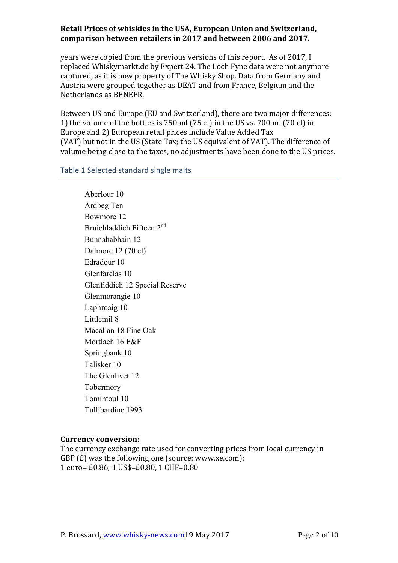years were copied from the previous versions of this report. As of 2017, I replaced Whiskymarkt.de by Expert 24. The Loch Fyne data were not anymore captured, as it is now property of The Whisky Shop. Data from Germany and Austria were grouped together as DEAT and from France, Belgium and the Netherlands as BENEFR.

Between US and Europe (EU and Switzerland), there are two major differences: 1) the volume of the bottles is  $750$  ml  $(75 \text{ cl})$  in the US vs.  $700$  ml  $(70 \text{ cl})$  in Europe and 2) European retail prices include Value Added Tax (VAT) but not in the US (State Tax; the US equivalent of VAT). The difference of volume being close to the taxes, no adjustments have been done to the US prices.

#### <span id="page-1-0"></span>Table 1 Selected standard single malts

Aberlour 10 Ardbeg Ten Bowmore 12 Bruichladdich Fifteen 2nd Bunnahabhain 12 Dalmore 12 (70 cl) Edradour 10 Glenfarclas 10 Glenfiddich 12 Special Reserve Glenmorangie 10 Laphroaig 10 Littlemil 8 Macallan 18 Fine Oak Mortlach 16 F&F Springbank 10 Talisker 10 The Glenlivet 12 Tobermory Tomintoul 10 Tullibardine 1993

#### **Currency conversion:**

The currency exchange rate used for converting prices from local currency in GBP $(E)$  was the following one (source: www.xe.com): 1 euro= £0.86; 1 US\$=£0.80, 1 CHF=0.80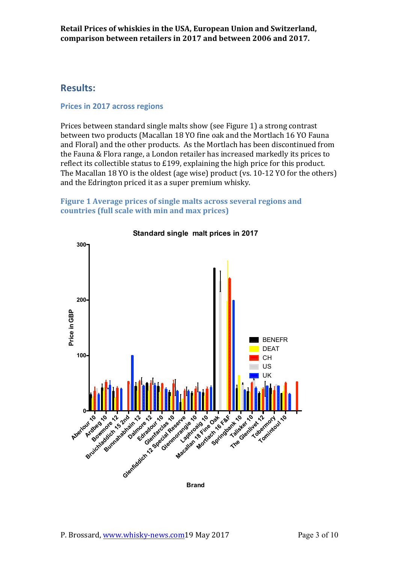## <span id="page-2-0"></span>**Results:**

### <span id="page-2-1"></span>**Prices in 2017 across regions**

Prices between standard single malts show (see Figure 1) a strong contrast between two products (Macallan 18 YO fine oak and the Mortlach 16 YO Fauna and Floral) and the other products. As the Mortlach has been discontinued from the Fauna & Flora range, a London retailer has increased markedly its prices to reflect its collectible status to  $£199$ , explaining the high price for this product. The Macallan 18 YO is the oldest (age wise) product (vs. 10-12 YO for the others) and the Edrington priced it as a super premium whisky.

#### <span id="page-2-2"></span>**Figure 1 Average prices of single malts across several regions and countries (full scale with min and max prices)**

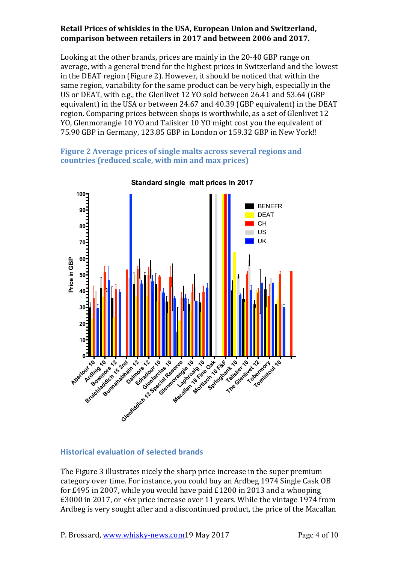Looking at the other brands, prices are mainly in the 20-40 GBP range on average, with a general trend for the highest prices in Switzerland and the lowest in the DEAT region (Figure 2). However, it should be noticed that within the same region, variability for the same product can be very high, especially in the US or DEAT, with e.g., the Glenlivet 12 YO sold between 26.41 and 53.64 (GBP equivalent) in the USA or between 24.67 and 40.39 (GBP equivalent) in the DEAT region. Comparing prices between shops is worthwhile, as a set of Glenlivet 12 YO, Glenmorangie 10 YO and Talisker 10 YO might cost you the equivalent of 75.90 GBP in Germany, 123.85 GBP in London or 159.32 GBP in New York!!

### <span id="page-3-1"></span>**Figure 2 Average prices of single malts across several regions and countries (reduced scale, with min and max prices)**



#### **Standard single malt prices in 2017**

### <span id="page-3-0"></span>**Historical evaluation of selected brands**

The Figure 3 illustrates nicely the sharp price increase in the super premium category over time. For instance, you could buy an Ardbeg 1974 Single Cask OB for £495 in 2007, while you would have paid  $£1200$  in 2013 and a whooping  $£3000$  in 2017, or <6x price increase over 11 years. While the vintage 1974 from Ardbeg is very sought after and a discontinued product, the price of the Macallan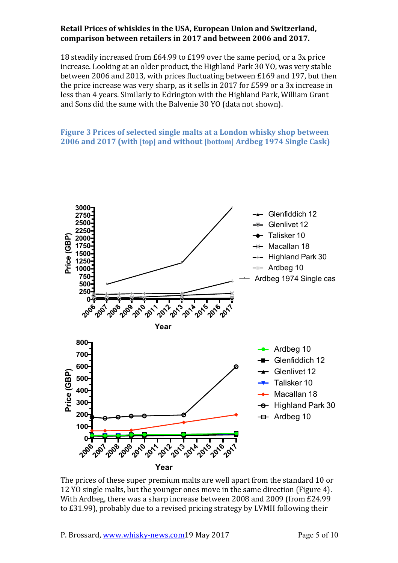18 steadily increased from  $£64.99$  to  $£199$  over the same period, or a 3x price increase. Looking at an older product, the Highland Park 30 YO, was very stable between 2006 and 2013, with prices fluctuating between £169 and 197, but then the price increase was very sharp, as it sells in 2017 for  $£599$  or a 3x increase in less than 4 years. Similarly to Edrington with the Highland Park, William Grant and Sons did the same with the Balvenie 30 YO (data not shown).

#### <span id="page-4-0"></span>**Figure 3 Prices of selected single malts at a London whisky shop between 2006 and 2017 (with [top] and without [bottom] Ardbeg 1974 Single Cask)**



The prices of these super premium malts are well apart from the standard 10 or 12 YO single malts, but the younger ones move in the same direction (Figure 4). With Ardbeg, there was a sharp increase between 2008 and 2009 (from £24.99 to £31.99), probably due to a revised pricing strategy by LVMH following their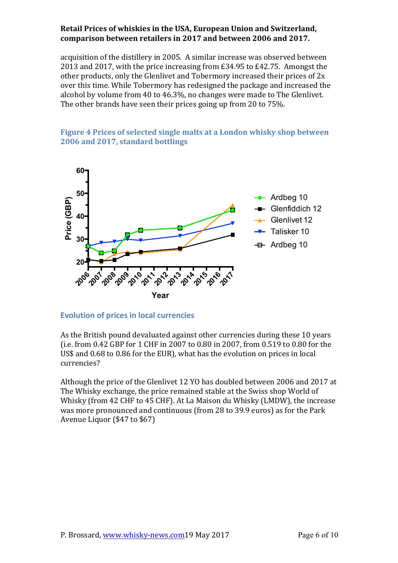acquisition of the distillery in 2005. A similar increase was observed between 2013 and 2017, with the price increasing from  $£34.95$  to  $£42.75$ . Amongst the other products, only the Glenlivet and Tobermory increased their prices of  $2x$ over this time. While Tobermory has redesigned the package and increased the alcohol by volume from 40 to 46.3%, no changes were made to The Glenlivet. The other brands have seen their prices going up from 20 to 75%.

### <span id="page-5-1"></span>**Figure 4 Prices of selected single malts at a London whisky shop between 2006 and 2017, standard bottlings**



<span id="page-5-0"></span>**Evolution of prices in local currencies** 

As the British pound devaluated against other currencies during these 10 years (i.e. from 0.42 GBP for 1 CHF in 2007 to 0.80 in 2007, from 0.519 to 0.80 for the US\$ and 0.68 to 0.86 for the EUR), what has the evolution on prices in local currencies?

Although the price of the Glenlivet 12 YO has doubled between 2006 and 2017 at The Whisky exchange, the price remained stable at the Swiss shop World of Whisky (from 42 CHF to 45 CHF). At La Maison du Whisky (LMDW), the increase was more pronounced and continuous (from 28 to 39.9 euros) as for the Park Avenue Liquor (\$47 to \$67)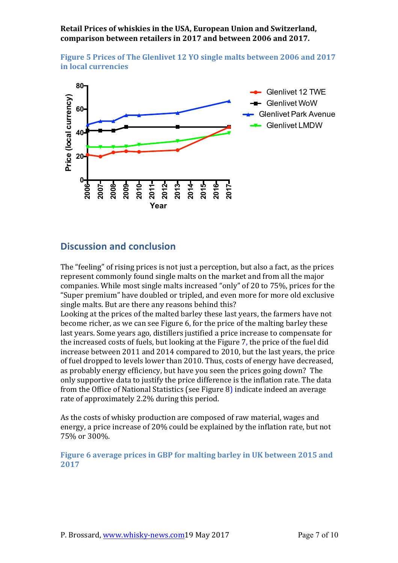<span id="page-6-1"></span>



## <span id="page-6-0"></span>**Discussion and conclusion**

The "feeling" of rising prices is not just a perception, but also a fact, as the prices represent commonly found single malts on the market and from all the major companies. While most single malts increased "only" of 20 to 75%, prices for the "Super premium" have doubled or tripled, and even more for more old exclusive single malts. But are there any reasons behind this?

Looking at the prices of the malted barley these last years, the farmers have not become richer, as we can see Figure 6, for the price of the malting barley these last vears. Some vears ago, distillers justified a price increase to compensate for the increased costs of fuels, but looking at the Figure 7, the price of the fuel did increase between 2011 and 2014 compared to 2010, but the last years, the price of fuel dropped to levels lower than 2010. Thus, costs of energy have decreased, as probably energy efficiency, but have you seen the prices going down? The only supportive data to justify the price difference is the inflation rate. The data from the Office of National Statistics (see Figure 8) indicate indeed an average rate of approximately  $2.2\%$  during this period.

As the costs of whisky production are composed of raw material, wages and energy, a price increase of 20% could be explained by the inflation rate, but not 75% or 300%.

<span id="page-6-2"></span>**Figure 6** average prices in GBP for malting barley in UK between 2015 and **2017**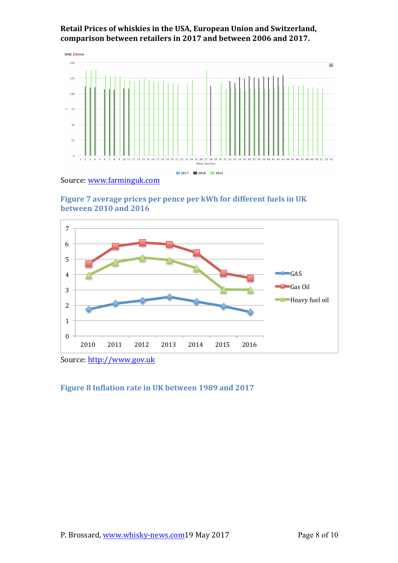

<span id="page-7-0"></span>Figure 7 average prices per pence per kWh for different fuels in UK **between 2010 and 2016** 



Source: http://www.gov.uk

#### <span id="page-7-1"></span>Figure 8 Inflation rate in UK between 1989 and 2017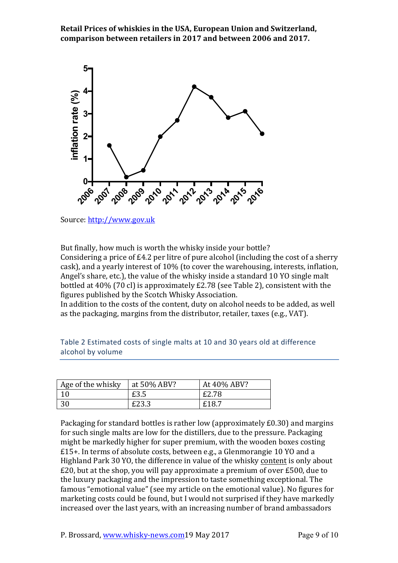

Source:<http://www.gov.uk>

But finally, how much is worth the whisky inside your bottle?

Considering a price of  $E4.2$  per litre of pure alcohol (including the cost of a sherry cask), and a yearly interest of 10% (to cover the warehousing, interests, inflation, Angel's share, etc.), the value of the whisky inside a standard 10 YO single malt bottled at  $40\%$  (70 cl) is approximately £2.78 (see Table 2), consistent with the figures published by the Scotch Whisky Association.

In addition to the costs of the content, duty on alcohol needs to be added, as well as the packaging, margins from the distributor, retailer, taxes (e.g., VAT).

| Age of the whisky | at $50\%$ ABV? | At 40% ABV? |
|-------------------|----------------|-------------|
|                   | £3.5           | £2.78       |
| 30                | £23.3          | £18.7       |

<span id="page-8-0"></span>Table 2 Estimated costs of single malts at 10 and 30 years old at difference alcohol by volume

Packaging for standard bottles is rather low (approximately  $£0.30$ ) and margins for such single malts are low for the distillers, due to the pressure. Packaging might be markedly higher for super premium, with the wooden boxes costing  $£15+$ . In terms of absolute costs, between e.g., a Glenmorangie 10 YO and a Highland Park 30 YO, the difference in value of the whisky content is only about  $£20$ , but at the shop, you will pay approximate a premium of over  $£500$ , due to the luxury packaging and the impression to taste something exceptional. The famous "emotional value" (see my article on the emotional value). No figures for marketing costs could be found, but I would not surprised if they have markedly increased over the last years, with an increasing number of brand ambassadors